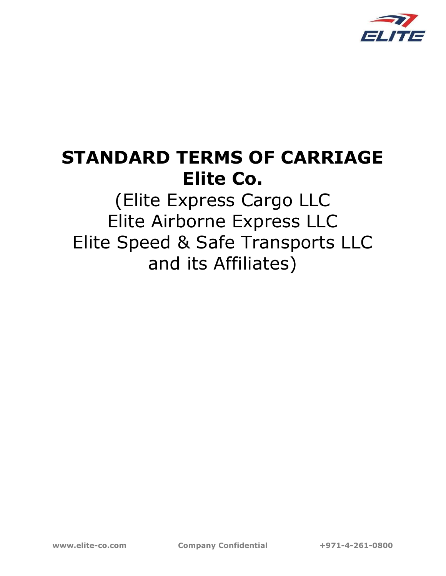

# STANDARD TERMS OF CARRIAGE Elite Co.

(Elite Express Cargo LLC Elite Airborne Express LLC Elite Speed & Safe Transports LLC and its Affiliates)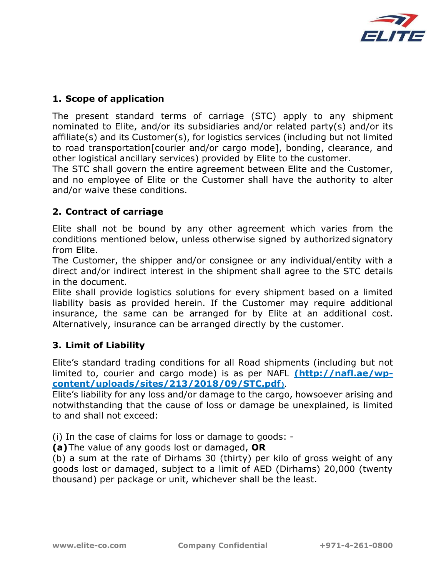

# 1. Scope of application

The present standard terms of carriage (STC) apply to any shipment nominated to Elite, and/or its subsidiaries and/or related party(s) and/or its affiliate(s) and its Customer(s), for logistics services (including but not limited to road transportation[courier and/or cargo mode], bonding, clearance, and other logistical ancillary services) provided by Elite to the customer.

The STC shall govern the entire agreement between Elite and the Customer, and no employee of Elite or the Customer shall have the authority to alter and/or waive these conditions.

## 2. Contract of carriage

Elite shall not be bound by any other agreement which varies from the conditions mentioned below, unless otherwise signed by authorized signatory from Elite.

The Customer, the shipper and/or consignee or any individual/entity with a direct and/or indirect interest in the shipment shall agree to the STC details in the document.

Elite shall provide logistics solutions for every shipment based on a limited liability basis as provided herein. If the Customer may require additional insurance, the same can be arranged for by Elite at an additional cost. Alternatively, insurance can be arranged directly by the customer.

## 3. Limit of Liability

Elite's standard trading conditions for all Road shipments (including but not limited to, courier and cargo mode) is as per NAFL (http://nafl.ae/wpcontent/uploads/sites/213/2018/09/STC.pdf).

Elite's liability for any loss and/or damage to the cargo, howsoever arising and notwithstanding that the cause of loss or damage be unexplained, is limited to and shall not exceed:

(i) In the case of claims for loss or damage to goods: -

(a) The value of any goods lost or damaged, OR

(b) a sum at the rate of Dirhams 30 (thirty) per kilo of gross weight of any goods lost or damaged, subject to a limit of AED (Dirhams) 20,000 (twenty thousand) per package or unit, whichever shall be the least.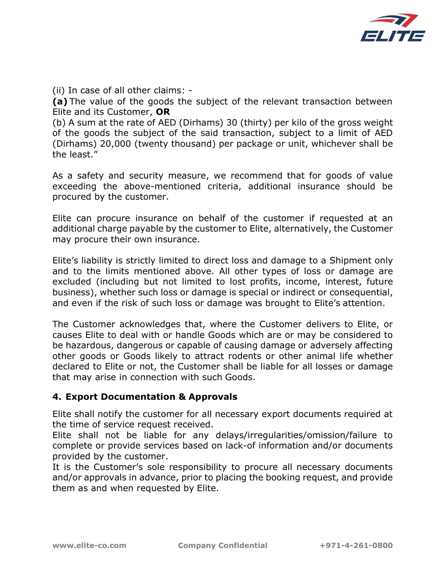

(ii) In case of all other claims: -

(a) The value of the goods the subject of the relevant transaction between Elite and its Customer, OR

(b) A sum at the rate of AED (Dirhams) 30 (thirty) per kilo of the gross weight of the goods the subject of the said transaction, subject to a limit of AED (Dirhams) 20,000 (twenty thousand) per package or unit, whichever shall be the least."

As a safety and security measure, we recommend that for goods of value exceeding the above-mentioned criteria, additional insurance should be procured by the customer.

Elite can procure insurance on behalf of the customer if requested at an additional charge payable by the customer to Elite, alternatively, the Customer may procure their own insurance.

Elite's liability is strictly limited to direct loss and damage to a Shipment only and to the limits mentioned above. All other types of loss or damage are excluded (including but not limited to lost profits, income, interest, future business), whether such loss or damage is special or indirect or consequential, and even if the risk of such loss or damage was brought to Elite's attention.

The Customer acknowledges that, where the Customer delivers to Elite, or causes Elite to deal with or handle Goods which are or may be considered to be hazardous, dangerous or capable of causing damage or adversely affecting other goods or Goods likely to attract rodents or other animal life whether declared to Elite or not, the Customer shall be liable for all losses or damage that may arise in connection with such Goods.

## 4. Export Documentation & Approvals

Elite shall notify the customer for all necessary export documents required at the time of service request received.

Elite shall not be liable for any delays/irregularities/omission/failure to complete or provide services based on lack-of information and/or documents provided by the customer.

It is the Customer's sole responsibility to procure all necessary documents and/or approvals in advance, prior to placing the booking request, and provide them as and when requested by Elite.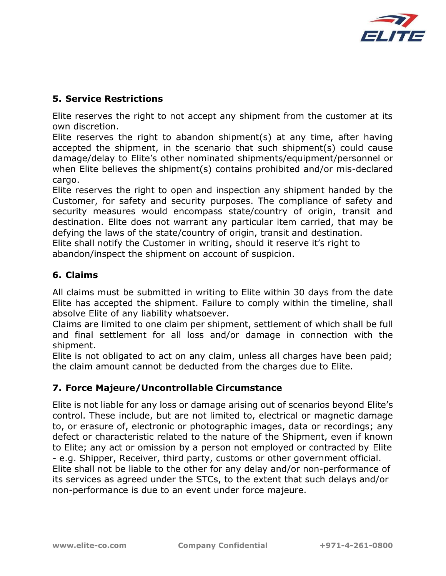

# 5. Service Restrictions

Elite reserves the right to not accept any shipment from the customer at its own discretion.

Elite reserves the right to abandon shipment(s) at any time, after having accepted the shipment, in the scenario that such shipment(s) could cause damage/delay to Elite's other nominated shipments/equipment/personnel or when Elite believes the shipment(s) contains prohibited and/or mis-declared cargo.

Elite reserves the right to open and inspection any shipment handed by the Customer, for safety and security purposes. The compliance of safety and security measures would encompass state/country of origin, transit and destination. Elite does not warrant any particular item carried, that may be defying the laws of the state/country of origin, transit and destination.

Elite shall notify the Customer in writing, should it reserve it's right to abandon/inspect the shipment on account of suspicion.

# 6. Claims

All claims must be submitted in writing to Elite within 30 days from the date Elite has accepted the shipment. Failure to comply within the timeline, shall absolve Elite of any liability whatsoever.

Claims are limited to one claim per shipment, settlement of which shall be full and final settlement for all loss and/or damage in connection with the shipment.

Elite is not obligated to act on any claim, unless all charges have been paid; the claim amount cannot be deducted from the charges due to Elite.

## 7. Force Majeure/Uncontrollable Circumstance

Elite is not liable for any loss or damage arising out of scenarios beyond Elite's control. These include, but are not limited to, electrical or magnetic damage to, or erasure of, electronic or photographic images, data or recordings; any defect or characteristic related to the nature of the Shipment, even if known to Elite; any act or omission by a person not employed or contracted by Elite - e.g. Shipper, Receiver, third party, customs or other government official. Elite shall not be liable to the other for any delay and/or non-performance of its services as agreed under the STCs, to the extent that such delays and/or non-performance is due to an event under force majeure.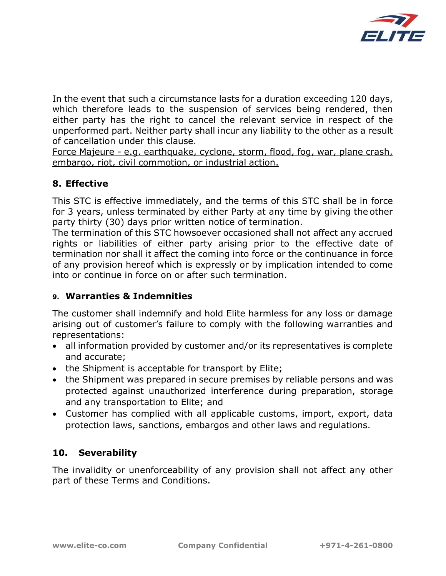

In the event that such a circumstance lasts for a duration exceeding 120 days, which therefore leads to the suspension of services being rendered, then either party has the right to cancel the relevant service in respect of the unperformed part. Neither party shall incur any liability to the other as a result of cancellation under this clause.

Force Majeure - e.g. earthquake, cyclone, storm, flood, fog, war, plane crash, embargo, riot, civil commotion, or industrial action.

# 8. Effective

This STC is effective immediately, and the terms of this STC shall be in force for 3 years, unless terminated by either Party at any time by giving the other party thirty (30) days prior written notice of termination.

The termination of this STC howsoever occasioned shall not affect any accrued rights or liabilities of either party arising prior to the effective date of termination nor shall it affect the coming into force or the continuance in force of any provision hereof which is expressly or by implication intended to come into or continue in force on or after such termination.

## 9. Warranties & Indemnities

The customer shall indemnify and hold Elite harmless for any loss or damage arising out of customer's failure to comply with the following warranties and representations:

- all information provided by customer and/or its representatives is complete and accurate;
- the Shipment is acceptable for transport by Elite;
- the Shipment was prepared in secure premises by reliable persons and was protected against unauthorized interference during preparation, storage and any transportation to Elite; and
- Customer has complied with all applicable customs, import, export, data protection laws, sanctions, embargos and other laws and regulations.

# 10. Severability

The invalidity or unenforceability of any provision shall not affect any other part of these Terms and Conditions.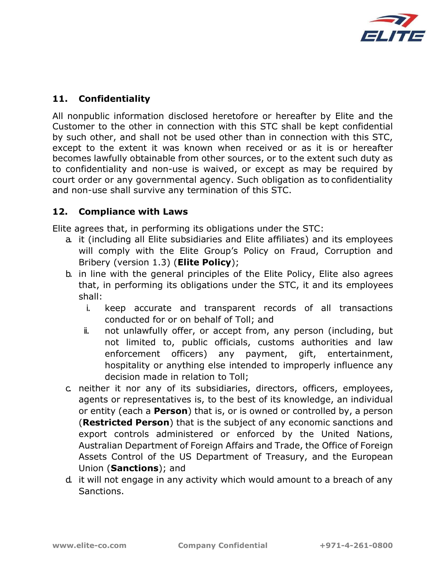

# 11. Confidentiality

All nonpublic information disclosed heretofore or hereafter by Elite and the Customer to the other in connection with this STC shall be kept confidential by such other, and shall not be used other than in connection with this STC, except to the extent it was known when received or as it is or hereafter becomes lawfully obtainable from other sources, or to the extent such duty as to confidentiality and non-use is waived, or except as may be required by court order or any governmental agency. Such obligation as to confidentiality and non-use shall survive any termination of this STC.

## 12. Compliance with Laws

Elite agrees that, in performing its obligations under the STC:

- a. it (including all Elite subsidiaries and Elite affiliates) and its employees will comply with the Elite Group's Policy on Fraud, Corruption and Bribery (version 1.3) (**Elite Policy**);
- b. in line with the general principles of the Elite Policy, Elite also agrees that, in performing its obligations under the STC, it and its employees shall:
	- i. keep accurate and transparent records of all transactions conducted for or on behalf of Toll; and
	- ii. not unlawfully offer, or accept from, any person (including, but not limited to, public officials, customs authorities and law enforcement officers) any payment, gift, entertainment, hospitality or anything else intended to improperly influence any decision made in relation to Toll;
- c. neither it nor any of its subsidiaries, directors, officers, employees, agents or representatives is, to the best of its knowledge, an individual or entity (each a **Person**) that is, or is owned or controlled by, a person (Restricted Person) that is the subject of any economic sanctions and export controls administered or enforced by the United Nations, Australian Department of Foreign Affairs and Trade, the Office of Foreign Assets Control of the US Department of Treasury, and the European Union (Sanctions); and
- d. it will not engage in any activity which would amount to a breach of any Sanctions.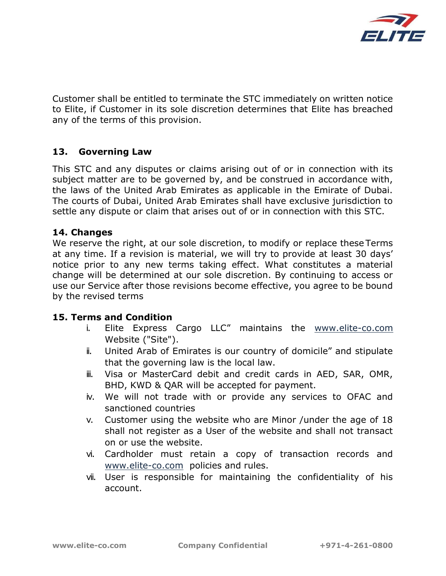

Customer shall be entitled to terminate the STC immediately on written notice to Elite, if Customer in its sole discretion determines that Elite has breached any of the terms of this provision.

## 13. Governing Law

This STC and any disputes or claims arising out of or in connection with its subject matter are to be governed by, and be construed in accordance with, the laws of the United Arab Emirates as applicable in the Emirate of Dubai. The courts of Dubai, United Arab Emirates shall have exclusive jurisdiction to settle any dispute or claim that arises out of or in connection with this STC.

#### 14. Changes

We reserve the right, at our sole discretion, to modify or replace these Terms at any time. If a revision is material, we will try to provide at least 30 days' notice prior to any new terms taking effect. What constitutes a material change will be determined at our sole discretion. By continuing to access or use our Service after those revisions become effective, you agree to be bound by the revised terms

#### 15. Terms and Condition

- i. Elite Express Cargo LLC" maintains the www.elite-co.com Website ("Site").
- ii. United Arab of Emirates is our country of domicile" and stipulate that the governing law is the local law.
- iii. Visa or MasterCard debit and credit cards in AED, SAR, OMR, BHD, KWD & QAR will be accepted for payment.
- iv. We will not trade with or provide any services to OFAC and sanctioned countries
- v. Customer using the website who are Minor /under the age of 18 shall not register as a User of the website and shall not transact on or use the website.
- vi. Cardholder must retain a copy of transaction records and www.elite-co.com policies and rules.
- vii. User is responsible for maintaining the confidentiality of his account.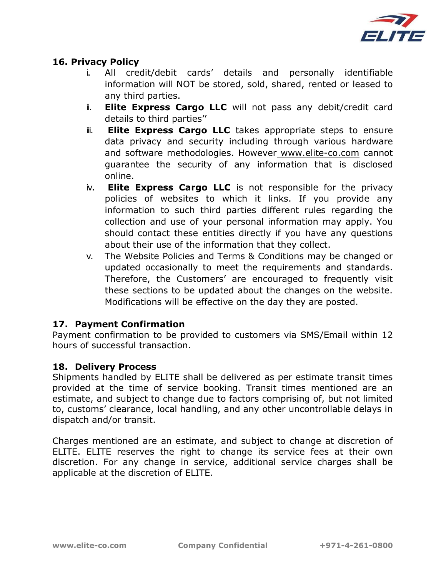

### 16. Privacy Policy

- i. All credit/debit cards' details and personally identifiable information will NOT be stored, sold, shared, rented or leased to any third parties.
- ii. Elite Express Cargo LLC will not pass any debit/credit card details to third parties''
- ii. Elite Express Cargo LLC takes appropriate steps to ensure data privacy and security including through various hardware and software methodologies. However www.elite-co.com cannot guarantee the security of any information that is disclosed online.
- iv. Elite Express Cargo LLC is not responsible for the privacy policies of websites to which it links. If you provide any information to such third parties different rules regarding the collection and use of your personal information may apply. You should contact these entities directly if you have any questions about their use of the information that they collect.
- v. The Website Policies and Terms & Conditions may be changed or updated occasionally to meet the requirements and standards. Therefore, the Customers' are encouraged to frequently visit these sections to be updated about the changes on the website. Modifications will be effective on the day they are posted.

#### 17. Payment Confirmation

Payment confirmation to be provided to customers via SMS/Email within 12 hours of successful transaction.

#### 18. Delivery Process

Shipments handled by ELITE shall be delivered as per estimate transit times provided at the time of service booking. Transit times mentioned are an estimate, and subject to change due to factors comprising of, but not limited to, customs' clearance, local handling, and any other uncontrollable delays in dispatch and/or transit.

Charges mentioned are an estimate, and subject to change at discretion of ELITE. ELITE reserves the right to change its service fees at their own discretion. For any change in service, additional service charges shall be applicable at the discretion of ELITE.